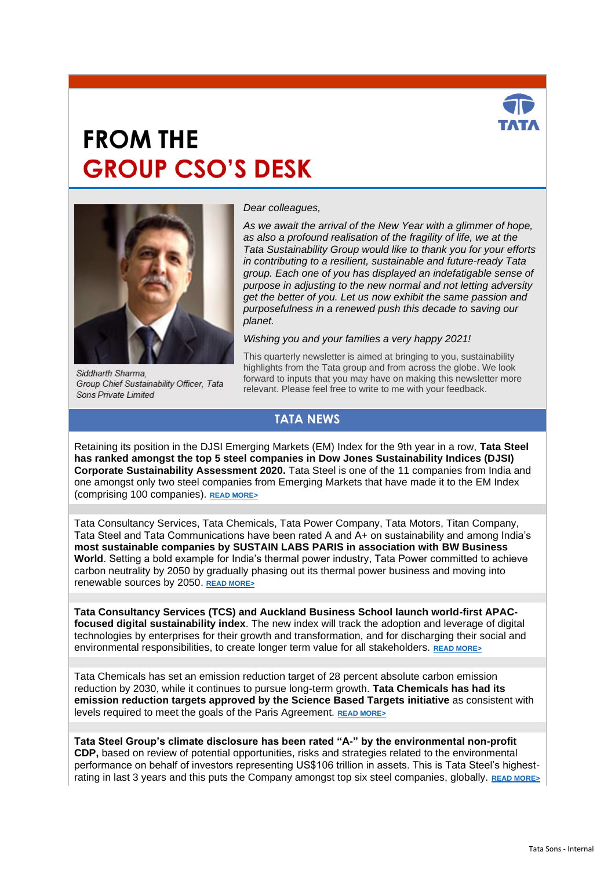

## **FROM THE GROUP CSO'S DESK**



Siddharth Sharma. Group Chief Sustainability Officer. Tata Sons Private Limited

*Dear colleagues,*

*As we await the arrival of the New Year with a glimmer of hope, as also a profound realisation of the fragility of life, we at the Tata Sustainability Group would like to thank you for your efforts in contributing to a resilient, sustainable and future-ready Tata group. Each one of you has displayed an indefatigable sense of purpose in adjusting to the new normal and not letting adversity get the better of you. Let us now exhibit the same passion and purposefulness in a renewed push this decade to saving our planet.*

*Wishing you and your families a very happy 2021!* 

This quarterly newsletter is aimed at bringing to you, sustainability highlights from the Tata group and from across the globe. We look forward to inputs that you may have on making this newsletter more relevant. Please feel free to write to me with your feedback.

## **TATA NEWS**

Retaining its position in the DJSI Emerging Markets (EM) Index for the 9th year in a row, **Tata Steel has ranked amongst the top 5 steel companies in Dow Jones Sustainability Indices (DJSI) Corporate Sustainability Assessment 2020.** Tata Steel is one of the 11 companies from India and one amongst only two steel companies from Emerging Markets that have made it to the EM Index (comprising 100 companies). **[READ MORE>](https://www.tatasteel.com/media/newsroom/press-releases/india/2020/tata-steel-features-amongst-the-top-five-companies-in-the-steel-industry-in-dow-jones-sustainability-indices-djsi-corporate-sustainability-assessment-2020/)**

Tata Consultancy Services, Tata Chemicals, Tata Power Company, Tata Motors, Titan Company, Tata Steel and Tata Communications have been rated A and A+ on sustainability and among India's **most sustainable companies by SUSTAIN LABS PARIS in association with BW Business World**. Setting a bold example for India's thermal power industry, Tata Power committed to achieve carbon neutrality by 2050 by gradually phasing out its thermal power business and moving into renewable sources by 2050. **[READ MORE>](https://www.tatasustainability.com/pdfs/BW-November-2020.pdf)**

**Tata Consultancy Services (TCS) and Auckland Business School launch world-first APACfocused digital sustainability index**. The new index will track the adoption and leverage of digital technologies by enterprises for their growth and transformation, and for discharging their social and environmental responsibilities, to create longer term value for all stakeholders. **[READ MORE>](https://www.tataworld.com/news/openinside/tcs-and-auckland-business-school-apac-digital-sustainability-index)**

Tata Chemicals has set an emission reduction target of 28 percent absolute carbon emission reduction by 2030, while it continues to pursue long-term growth. **Tata Chemicals has had its emission reduction targets approved by the Science Based Targets initiative** as consistent with levels required to meet the goals of the Paris Agreement. **[READ MORE>](https://www.tataworld.com/news/openinside/Tata-Chemicals-emission-reduction-targets-approved-by-SBTi)**

**Tata Steel Group's climate disclosure has been rated "A-" by the environmental non-profit CDP,** based on review of potential opportunities, risks and strategies related to the environmental performance on behalf of investors representing US\$106 trillion in assets. This is Tata Steel's highestrating in last 3 years and this puts the Company amongst top six steel companies, globally, **[READ MORE>](https://www.tataworld.com/news/openinside/tata-steel-group-recognised-as-global-leader-in-climate-disclosure)**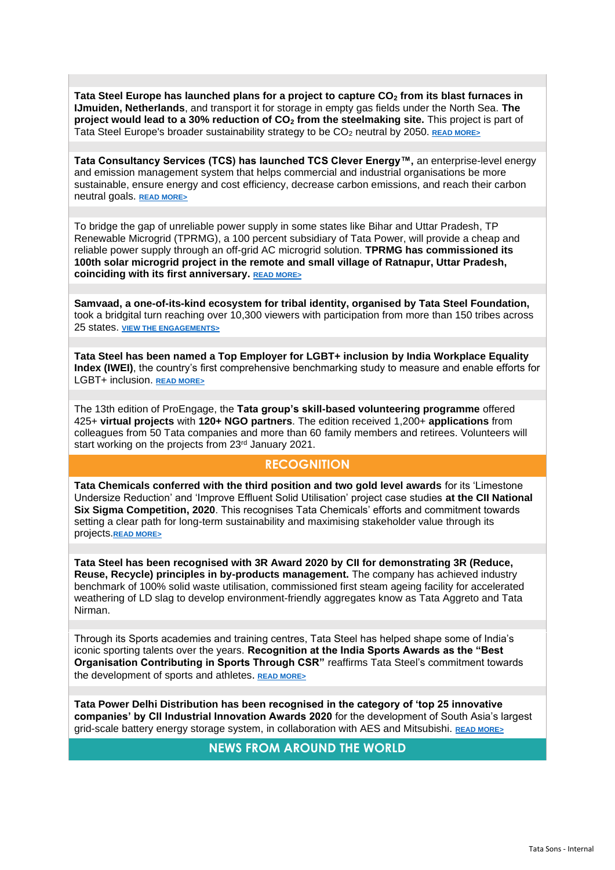**Tata Steel Europe has launched plans for a project to capture CO<sup>2</sup> from its blast furnaces in IJmuiden, Netherlands**, and transport it for storage in empty gas fields under the North Sea. **The project would lead to a 30% reduction of CO<sup>2</sup> from the steelmaking site.** This project is part of Tata Steel Europe's broader sustainability strategy to be CO<sup>2</sup> neutral by 2050. **[READ MORE>](https://www.tatasteeleurope.com/ts/corporate/news/tata-steel-plans-to-develop-largest-CO2-captur-installation-in-the-world)**

**Tata Consultancy Services (TCS) has launched TCS Clever Energy™,** an enterprise-level energy and emission management system that helps commercial and industrial organisations be more sustainable, ensure energy and cost efficiency, decrease carbon emissions, and reach their carbon neutral goals. **[READ MORE>](https://www.tataworld.com/news/openinside/tcs-launches-iot-powered-clever-energy-solution)**

To bridge the gap of unreliable power supply in some states like Bihar and Uttar Pradesh, TP Renewable Microgrid (TPRMG), a 100 percent subsidiary of Tata Power, will provide a cheap and reliable power supply through an off-grid AC microgrid solution. **TPRMG has commissioned its 100th solar microgrid project in the remote and small village of Ratnapur, Uttar Pradesh, coinciding with its first anniversary. [READ MORE>](https://www.tataworld.com/news/openinside/tp-renewable-microgrid-marks-its-first-anniversary)**

**Samvaad, a one-of-its-kind ecosystem for tribal identity, organised by Tata Steel Foundation,**  took a bridgital turn reaching over 10,300 viewers with participation from more than 150 tribes across 25 states. **[VIEW THE ENGAGEMENTS>](https://www.tatasteel.com/initiatives/samvaad/index.html)**

**Tata Steel has been named a Top Employer for LGBT+ inclusion by India Workplace Equality Index (IWEI)**, the country's first comprehensive benchmarking study to measure and enable efforts for LGBT+ inclusion. **[READ MORE>](https://www.tataworld.com/news/openinside/tata-steel-named-top-employer-for-lgbt-inclusion)**

The 13th edition of ProEngage, the **Tata group's skill-based volunteering programme** offered 425+ **virtual projects** with **120+ NGO partners**. The edition received 1,200+ **applications** from colleagues from 50 Tata companies and more than 60 family members and retirees. Volunteers will start working on the projects from 23rd January 2021.

## **RECOGNITION**

**Tata Chemicals conferred with the third position and two gold level awards** for its 'Limestone Undersize Reduction' and 'Improve Effluent Solid Utilisation' project case studies **at the CII National Six Sigma Competition, 2020**. This recognises Tata Chemicals' efforts and commitment towards setting a clear path for long-term sustainability and maximising stakeholder value through its projects.**[READ MORE>](https://www.tataworld.com/news/openinside/tata-chemicals-wins-cii-six-sigma-national-competition-awards-2020)**

**Tata Steel has been recognised with 3R Award 2020 by CII for demonstrating 3R (Reduce, Reuse, Recycle) principles in by-products management.** The company has achieved industry benchmark of 100% solid waste utilisation, commissioned first steam ageing facility for accelerated weathering of LD slag to develop environment-friendly aggregates know as Tata Aggreto and Tata Nirman.

Through its Sports academies and training centres, Tata Steel has helped shape some of India's iconic sporting talents over the years. **Recognition at the India Sports Awards as the "Best Organisation Contributing in Sports Through CSR"** reaffirms Tata Steel's commitment towards the development of sports and athletes. **[READ MORE>](https://www.tataworld.com/news/openinside/tata-steel-recognised-as-best-organisation-contributing-in-sports-through-csr)**

**Tata Power Delhi Distribution has been recognised in the category of 'top 25 innovative companies' by CII Industrial Innovation Awards 2020** for the development of South Asia's largest grid-scale battery energy storage system, in collaboration with AES and Mitsubishi. **[READ MORE>](https://www.tataworld.com/news/openinside/tata-power-ddl-wins-cii-industrial-innovation-award)**

**NEWS FROM AROUND THE WORLD**